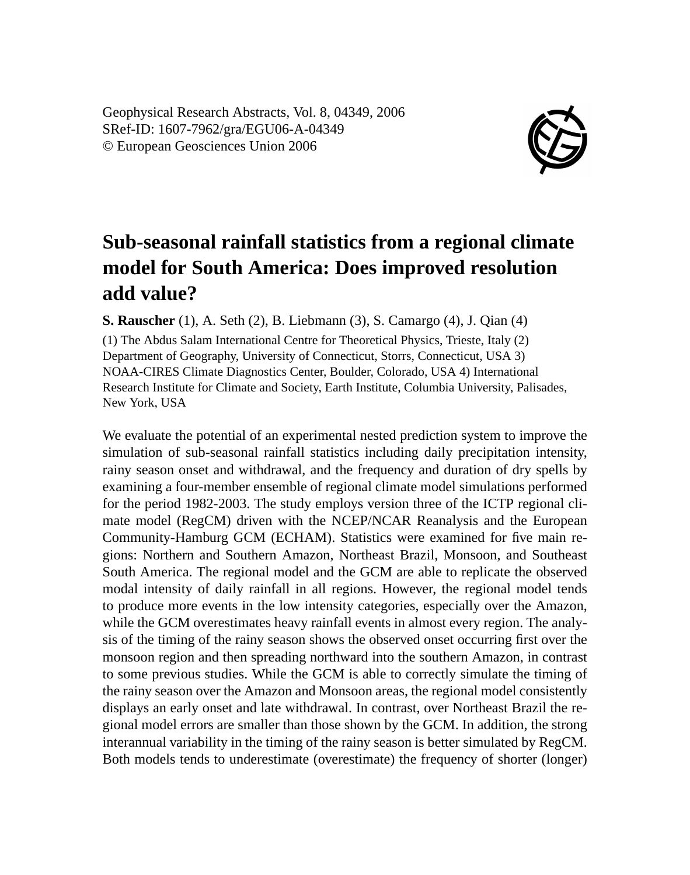Geophysical Research Abstracts, Vol. 8, 04349, 2006 SRef-ID: 1607-7962/gra/EGU06-A-04349 © European Geosciences Union 2006



## **Sub-seasonal rainfall statistics from a regional climate model for South America: Does improved resolution add value?**

**S. Rauscher** (1), A. Seth (2), B. Liebmann (3), S. Camargo (4), J. Qian (4)

(1) The Abdus Salam International Centre for Theoretical Physics, Trieste, Italy (2) Department of Geography, University of Connecticut, Storrs, Connecticut, USA 3) NOAA-CIRES Climate Diagnostics Center, Boulder, Colorado, USA 4) International Research Institute for Climate and Society, Earth Institute, Columbia University, Palisades, New York, USA

We evaluate the potential of an experimental nested prediction system to improve the simulation of sub-seasonal rainfall statistics including daily precipitation intensity, rainy season onset and withdrawal, and the frequency and duration of dry spells by examining a four-member ensemble of regional climate model simulations performed for the period 1982-2003. The study employs version three of the ICTP regional climate model (RegCM) driven with the NCEP/NCAR Reanalysis and the European Community-Hamburg GCM (ECHAM). Statistics were examined for five main regions: Northern and Southern Amazon, Northeast Brazil, Monsoon, and Southeast South America. The regional model and the GCM are able to replicate the observed modal intensity of daily rainfall in all regions. However, the regional model tends to produce more events in the low intensity categories, especially over the Amazon, while the GCM overestimates heavy rainfall events in almost every region. The analysis of the timing of the rainy season shows the observed onset occurring first over the monsoon region and then spreading northward into the southern Amazon, in contrast to some previous studies. While the GCM is able to correctly simulate the timing of the rainy season over the Amazon and Monsoon areas, the regional model consistently displays an early onset and late withdrawal. In contrast, over Northeast Brazil the regional model errors are smaller than those shown by the GCM. In addition, the strong interannual variability in the timing of the rainy season is better simulated by RegCM. Both models tends to underestimate (overestimate) the frequency of shorter (longer)